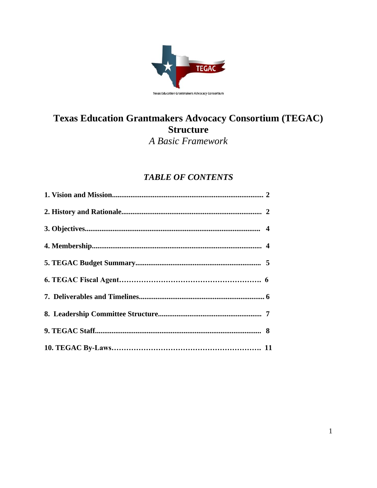

# Texas Education Grantmakers Advocacy Consortium (TEGAC) **Structure**

A Basic Framework

## **TABLE OF CONTENTS**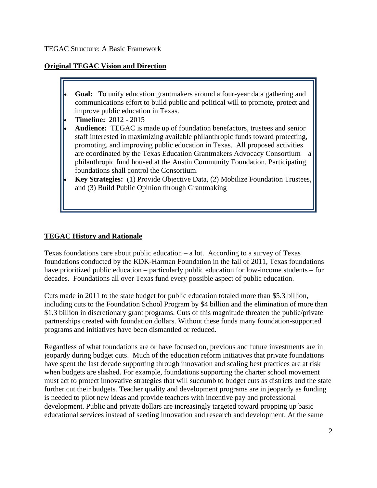#### **Original TEGAC Vision and Direction**

- **Goal:** To unify education grantmakers around a four-year data gathering and communications effort to build public and political will to promote, protect and improve public education in Texas.
- **Timeline:** 2012 2015
- **Audience:** TEGAC is made up of foundation benefactors, trustees and senior staff interested in maximizing available philanthropic funds toward protecting, promoting, and improving public education in Texas. All proposed activities are coordinated by the Texas Education Grantmakers Advocacy Consortium – a philanthropic fund housed at the Austin Community Foundation. Participating foundations shall control the Consortium.
- **Key Strategies:** (1) Provide Objective Data, (2) Mobilize Foundation Trustees, and (3) Build Public Opinion through Grantmaking

## **TEGAC History and Rationale**

Texas foundations care about public education – a lot. According to a survey of Texas foundations conducted by the KDK-Harman Foundation in the fall of 2011, Texas foundations have prioritized public education – particularly public education for low-income students – for decades. Foundations all over Texas fund every possible aspect of public education.

Cuts made in 2011 to the state budget for public education totaled more than \$5.3 billion, including cuts to the Foundation School Program by \$4 billion and the elimination of more than \$1.3 billion in discretionary grant programs. Cuts of this magnitude threaten the public/private partnerships created with foundation dollars. Without these funds many foundation-supported programs and initiatives have been dismantled or reduced.

Regardless of what foundations are or have focused on, previous and future investments are in jeopardy during budget cuts. Much of the education reform initiatives that private foundations have spent the last decade supporting through innovation and scaling best practices are at risk when budgets are slashed. For example, foundations supporting the charter school movement must act to protect innovative strategies that will succumb to budget cuts as districts and the state further cut their budgets. Teacher quality and development programs are in jeopardy as funding is needed to pilot new ideas and provide teachers with incentive pay and professional development. Public and private dollars are increasingly targeted toward propping up basic educational services instead of seeding innovation and research and development. At the same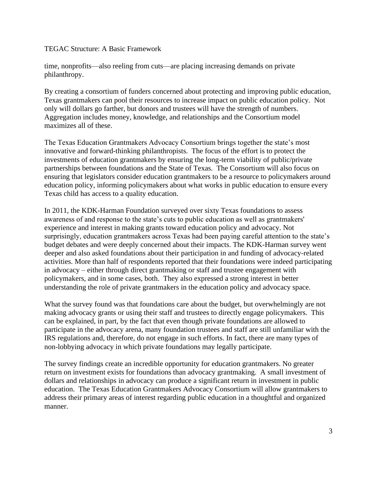time, nonprofits—also reeling from cuts—are placing increasing demands on private philanthropy.

By creating a consortium of funders concerned about protecting and improving public education, Texas grantmakers can pool their resources to increase impact on public education policy. Not only will dollars go farther, but donors and trustees will have the strength of numbers. Aggregation includes money, knowledge, and relationships and the Consortium model maximizes all of these.

The Texas Education Grantmakers Advocacy Consortium brings together the state's most innovative and forward-thinking philanthropists. The focus of the effort is to protect the investments of education grantmakers by ensuring the long-term viability of public/private partnerships between foundations and the State of Texas. The Consortium will also focus on ensuring that legislators consider education grantmakers to be a resource to policymakers around education policy, informing policymakers about what works in public education to ensure every Texas child has access to a quality education.

In 2011, the KDK-Harman Foundation surveyed over sixty Texas foundations to assess awareness of and response to the state's cuts to public education as well as grantmakers' experience and interest in making grants toward education policy and advocacy. Not surprisingly, education grantmakers across Texas had been paying careful attention to the state's budget debates and were deeply concerned about their impacts. The KDK-Harman survey went deeper and also asked foundations about their participation in and funding of advocacy-related activities. More than half of respondents reported that their foundations were indeed participating in advocacy – either through direct grantmaking or staff and trustee engagement with policymakers, and in some cases, both. They also expressed a strong interest in better understanding the role of private grantmakers in the education policy and advocacy space.

What the survey found was that foundations care about the budget, but overwhelmingly are not making advocacy grants or using their staff and trustees to directly engage policymakers. This can be explained, in part, by the fact that even though private foundations are allowed to participate in the advocacy arena, many foundation trustees and staff are still unfamiliar with the IRS regulations and, therefore, do not engage in such efforts. In fact, there are many types of non-lobbying advocacy in which private foundations may legally participate.

The survey findings create an incredible opportunity for education grantmakers. No greater return on investment exists for foundations than advocacy grantmaking. A small investment of dollars and relationships in advocacy can produce a significant return in investment in public education. The Texas Education Grantmakers Advocacy Consortium will allow grantmakers to address their primary areas of interest regarding public education in a thoughtful and organized manner.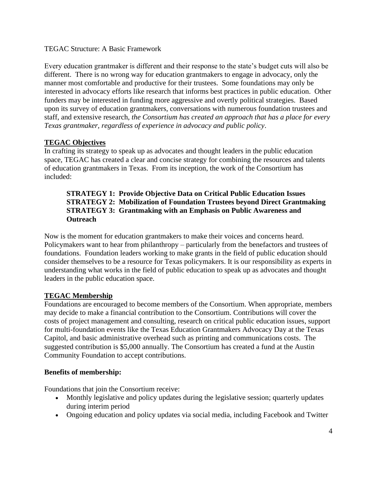Every education grantmaker is different and their response to the state's budget cuts will also be different. There is no wrong way for education grantmakers to engage in advocacy, only the manner most comfortable and productive for their trustees. Some foundations may only be interested in advocacy efforts like research that informs best practices in public education. Other funders may be interested in funding more aggressive and overtly political strategies. Based upon its survey of education grantmakers, conversations with numerous foundation trustees and staff, and extensive research, *the Consortium has created an approach that has a place for every Texas grantmaker, regardless of experience in advocacy and public policy*.

## **TEGAC Objectives**

In crafting its strategy to speak up as advocates and thought leaders in the public education space, TEGAC has created a clear and concise strategy for combining the resources and talents of education grantmakers in Texas. From its inception, the work of the Consortium has included:

#### **STRATEGY 1: Provide Objective Data on Critical Public Education Issues STRATEGY 2: Mobilization of Foundation Trustees beyond Direct Grantmaking STRATEGY 3: Grantmaking with an Emphasis on Public Awareness and Outreach**

Now is the moment for education grantmakers to make their voices and concerns heard. Policymakers want to hear from philanthropy – particularly from the benefactors and trustees of foundations. Foundation leaders working to make grants in the field of public education should consider themselves to be a resource for Texas policymakers. It is our responsibility as experts in understanding what works in the field of public education to speak up as advocates and thought leaders in the public education space.

## **TEGAC Membership**

Foundations are encouraged to become members of the Consortium. When appropriate, members may decide to make a financial contribution to the Consortium. Contributions will cover the costs of project management and consulting, research on critical public education issues, support for multi-foundation events like the Texas Education Grantmakers Advocacy Day at the Texas Capitol, and basic administrative overhead such as printing and communications costs. The suggested contribution is \$5,000 annually. The Consortium has created a fund at the Austin Community Foundation to accept contributions.

## **Benefits of membership:**

Foundations that join the Consortium receive:

- Monthly legislative and policy updates during the legislative session; quarterly updates during interim period
- Ongoing education and policy updates via social media, including Facebook and Twitter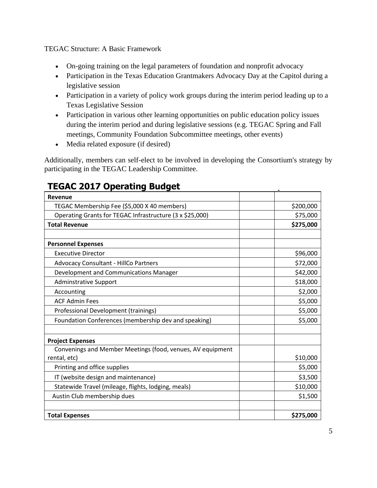- On-going training on the legal parameters of foundation and nonprofit advocacy
- Participation in the Texas Education Grantmakers Advocacy Day at the Capitol during a legislative session
- Participation in a variety of policy work groups during the interim period leading up to a Texas Legislative Session
- Participation in various other learning opportunities on public education policy issues during the interim period and during legislative sessions (e.g. TEGAC Spring and Fall meetings, Community Foundation Subcommittee meetings, other events)
- Media related exposure (if desired)

Additionally, members can self-elect to be involved in developing the Consortium's strategy by participating in the TEGAC Leadership Committee.

| Revenue                                                    |           |
|------------------------------------------------------------|-----------|
|                                                            |           |
| TEGAC Membership Fee (\$5,000 X 40 members)                | \$200,000 |
| Operating Grants for TEGAC Infrastructure (3 x \$25,000)   | \$75,000  |
| <b>Total Revenue</b>                                       | \$275,000 |
|                                                            |           |
| <b>Personnel Expenses</b>                                  |           |
| <b>Executive Director</b>                                  | \$96,000  |
| <b>Advocacy Consultant - HillCo Partners</b>               | \$72,000  |
| Development and Communications Manager                     | \$42,000  |
| <b>Adminstrative Support</b>                               | \$18,000  |
| Accounting                                                 | \$2,000   |
| <b>ACF Admin Fees</b>                                      | \$5,000   |
| Professional Development (trainings)                       | \$5,000   |
| Foundation Conferences (membership dev and speaking)       | \$5,000   |
|                                                            |           |
| <b>Project Expenses</b>                                    |           |
| Convenings and Member Meetings (food, venues, AV equipment |           |
| rental, etc)                                               | \$10,000  |
| Printing and office supplies                               | \$5,000   |
| IT (website design and maintenance)                        | \$3,500   |
| Statewide Travel (mileage, flights, lodging, meals)        | \$10,000  |
| Austin Club membership dues                                | \$1,500   |
|                                                            |           |
| <b>Total Expenses</b>                                      | \$275,000 |

## **TEGAC 2017 Operating Budget**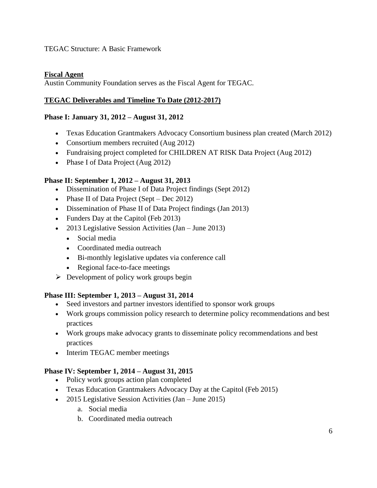## **Fiscal Agent**

Austin Community Foundation serves as the Fiscal Agent for TEGAC.

## **TEGAC Deliverables and Timeline To Date (2012-2017)**

#### **Phase I: January 31, 2012 – August 31, 2012**

- Texas Education Grantmakers Advocacy Consortium business plan created (March 2012)
- Consortium members recruited (Aug 2012)
- Fundraising project completed for CHILDREN AT RISK Data Project (Aug 2012)
- Phase I of Data Project (Aug 2012)

## **Phase II: September 1, 2012 – August 31, 2013**

- Dissemination of Phase I of Data Project findings (Sept 2012)
- Phase II of Data Project (Sept Dec 2012)
- Dissemination of Phase II of Data Project findings (Jan 2013)
- Funders Day at the Capitol (Feb 2013)
- 2013 Legislative Session Activities (Jan June 2013)
	- Social media
	- Coordinated media outreach
	- Bi-monthly legislative updates via conference call
	- Regional face-to-face meetings
- $\triangleright$  Development of policy work groups begin

## **Phase III: September 1, 2013 – August 31, 2014**

- Seed investors and partner investors identified to sponsor work groups
- Work groups commission policy research to determine policy recommendations and best practices
- Work groups make advocacy grants to disseminate policy recommendations and best practices
- Interim TEGAC member meetings

## **Phase IV: September 1, 2014 – August 31, 2015**

- Policy work groups action plan completed
- Texas Education Grantmakers Advocacy Day at the Capitol (Feb 2015)
- 2015 Legislative Session Activities (Jan June 2015)
	- a. Social media
	- b. Coordinated media outreach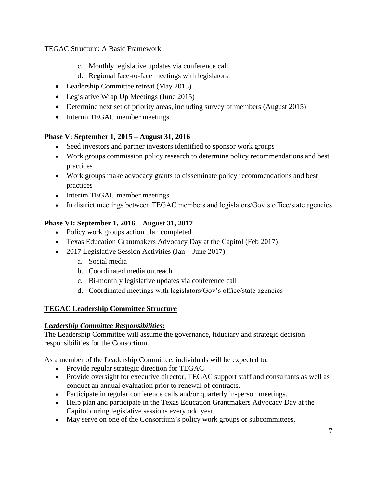- c. Monthly legislative updates via conference call
- d. Regional face-to-face meetings with legislators
- Leadership Committee retreat (May 2015)
- Legislative Wrap Up Meetings (June 2015)
- Determine next set of priority areas, including survey of members (August 2015)
- Interim TEGAC member meetings

## **Phase V: September 1, 2015 – August 31, 2016**

- Seed investors and partner investors identified to sponsor work groups
- Work groups commission policy research to determine policy recommendations and best practices
- Work groups make advocacy grants to disseminate policy recommendations and best practices
- Interim TEGAC member meetings
- In district meetings between TEGAC members and legislators/Gov's office/state agencies

## **Phase VI: September 1, 2016 – August 31, 2017**

- Policy work groups action plan completed
- Texas Education Grantmakers Advocacy Day at the Capitol (Feb 2017)
- 2017 Legislative Session Activities (Jan June 2017)
	- a. Social media
	- b. Coordinated media outreach
	- c. Bi-monthly legislative updates via conference call
	- d. Coordinated meetings with legislators/Gov's office/state agencies

## **TEGAC Leadership Committee Structure**

## *Leadership Committee Responsibilities:*

The Leadership Committee will assume the governance, fiduciary and strategic decision responsibilities for the Consortium.

As a member of the Leadership Committee, individuals will be expected to:

- Provide regular strategic direction for TEGAC
- Provide oversight for executive director, TEGAC support staff and consultants as well as conduct an annual evaluation prior to renewal of contracts.
- Participate in regular conference calls and/or quarterly in-person meetings.
- Help plan and participate in the Texas Education Grantmakers Advocacy Day at the Capitol during legislative sessions every odd year.
- May serve on one of the Consortium's policy work groups or subcommittees.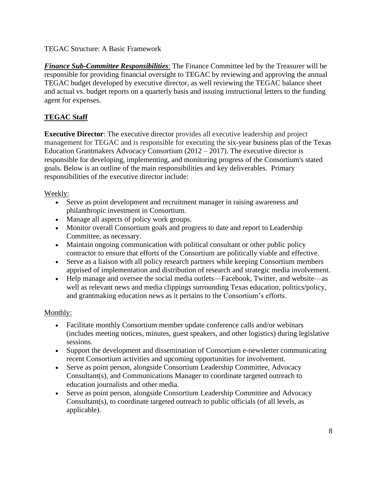*Finance Sub-Committee Responsibilities*: The Finance Committee led by the Treasurer will be responsible for providing financial oversight to TEGAC by reviewing and approving the annual TEGAC budget developed by executive director, as well reviewing the TEGAC balance sheet and actual vs. budget reports on a quarterly basis and issuing instructional letters to the funding agent for expenses.

## **TEGAC Staff**

**Executive Director**: The executive director provides all executive leadership and project management for TEGAC and is responsible for executing the six-year business plan of the Texas Education Grantmakers Advocacy Consortium (2012 – 2017). The executive director is responsible for developing, implementing, and monitoring progress of the Consortium's stated goals. Below is an outline of the main responsibilities and key deliverables. Primary responsibilities of the executive director include:

## Weekly:

- Serve as point development and recruitment manager in raising awareness and philanthropic investment in Consortium.
- Manage all aspects of policy work groups.
- Monitor overall Consortium goals and progress to date and report to Leadership Committee, as necessary.
- Maintain ongoing communication with political consultant or other public policy contractor to ensure that efforts of the Consortium are politically viable and effective.
- Serve as a liaison with all policy research partners while keeping Consortium members apprised of implementation and distribution of research and strategic media involvement.
- Help manage and oversee the social media outlets—Facebook, Twitter, and website—as well as relevant news and media clippings surrounding Texas education, politics/policy, and grantmaking education news as it pertains to the Consortium's efforts.

## Monthly:

- Facilitate monthly Consortium member update conference calls and/or webinars (includes meeting notices, minutes, guest speakers, and other logistics) during legislative sessions.
- Support the development and dissemination of Consortium e-newsletter communicating recent Consortium activities and upcoming opportunities for involvement.
- Serve as point person, alongside Consortium Leadership Committee, Advocacy Consultant(s), and Communications Manager to coordinate targeted outreach to education journalists and other media.
- Serve as point person, alongside Consortium Leadership Committee and Advocacy Consultant(s), to coordinate targeted outreach to public officials (of all levels, as applicable).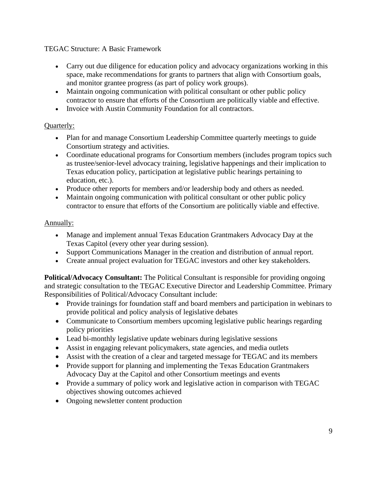- Carry out due diligence for education policy and advocacy organizations working in this space, make recommendations for grants to partners that align with Consortium goals, and monitor grantee progress (as part of policy work groups).
- Maintain ongoing communication with political consultant or other public policy contractor to ensure that efforts of the Consortium are politically viable and effective.
- Invoice with Austin Community Foundation for all contractors.

## Quarterly:

- Plan for and manage Consortium Leadership Committee quarterly meetings to guide Consortium strategy and activities.
- Coordinate educational programs for Consortium members (includes program topics such as trustee/senior-level advocacy training, legislative happenings and their implication to Texas education policy, participation at legislative public hearings pertaining to education, etc.).
- Produce other reports for members and/or leadership body and others as needed.
- Maintain ongoing communication with political consultant or other public policy contractor to ensure that efforts of the Consortium are politically viable and effective.

## Annually:

- Manage and implement annual Texas Education Grantmakers Advocacy Day at the Texas Capitol (every other year during session).
- Support Communications Manager in the creation and distribution of annual report.
- Create annual project evaluation for TEGAC investors and other key stakeholders.

**Political/Advocacy Consultant:** The Political Consultant is responsible for providing ongoing and strategic consultation to the TEGAC Executive Director and Leadership Committee. Primary Responsibilities of Political/Advocacy Consultant include:

- Provide trainings for foundation staff and board members and participation in webinars to provide political and policy analysis of legislative debates
- Communicate to Consortium members upcoming legislative public hearings regarding policy priorities
- Lead bi-monthly legislative update webinars during legislative sessions
- Assist in engaging relevant policymakers, state agencies, and media outlets
- Assist with the creation of a clear and targeted message for TEGAC and its members
- Provide support for planning and implementing the Texas Education Grantmakers Advocacy Day at the Capitol and other Consortium meetings and events
- Provide a summary of policy work and legislative action in comparison with TEGAC objectives showing outcomes achieved
- Ongoing newsletter content production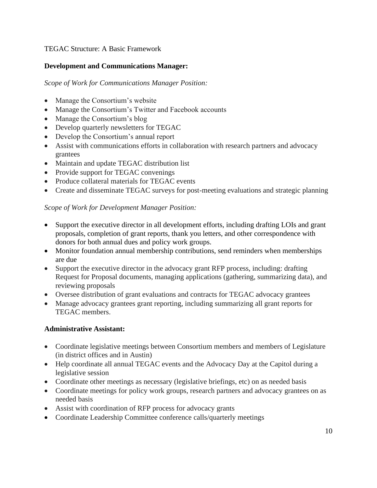## **Development and Communications Manager:**

## *Scope of Work for Communications Manager Position:*

- Manage the Consortium's website
- Manage the Consortium's Twitter and Facebook accounts
- Manage the Consortium's blog
- Develop quarterly newsletters for TEGAC
- Develop the Consortium's annual report
- Assist with communications efforts in collaboration with research partners and advocacy grantees
- Maintain and update TEGAC distribution list
- Provide support for TEGAC convenings
- Produce collateral materials for TEGAC events
- Create and disseminate TEGAC surveys for post-meeting evaluations and strategic planning

## *Scope of Work for Development Manager Position:*

- Support the executive director in all development efforts, including drafting LOIs and grant proposals, completion of grant reports, thank you letters, and other correspondence with donors for both annual dues and policy work groups.
- Monitor foundation annual membership contributions, send reminders when memberships are due
- Support the executive director in the advocacy grant RFP process, including: drafting Request for Proposal documents, managing applications (gathering, summarizing data), and reviewing proposals
- Oversee distribution of grant evaluations and contracts for TEGAC advocacy grantees
- Manage advocacy grantees grant reporting, including summarizing all grant reports for TEGAC members.

## **Administrative Assistant:**

- Coordinate legislative meetings between Consortium members and members of Legislature (in district offices and in Austin)
- Help coordinate all annual TEGAC events and the Advocacy Day at the Capitol during a legislative session
- Coordinate other meetings as necessary (legislative briefings, etc) on as needed basis
- Coordinate meetings for policy work groups, research partners and advocacy grantees on as needed basis
- Assist with coordination of RFP process for advocacy grants
- Coordinate Leadership Committee conference calls/quarterly meetings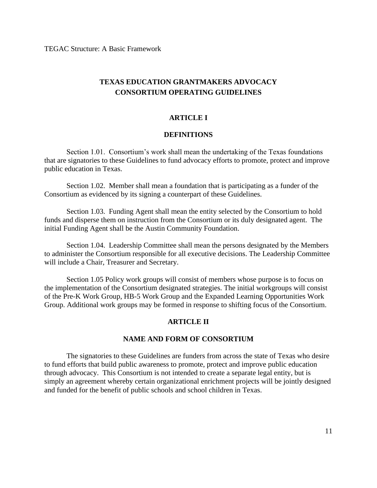## **TEXAS EDUCATION GRANTMAKERS ADVOCACY CONSORTIUM OPERATING GUIDELINES**

#### **ARTICLE I**

#### **DEFINITIONS**

Section 1.01. Consortium's work shall mean the undertaking of the Texas foundations that are signatories to these Guidelines to fund advocacy efforts to promote, protect and improve public education in Texas.

Section 1.02. Member shall mean a foundation that is participating as a funder of the Consortium as evidenced by its signing a counterpart of these Guidelines.

Section 1.03. Funding Agent shall mean the entity selected by the Consortium to hold funds and disperse them on instruction from the Consortium or its duly designated agent. The initial Funding Agent shall be the Austin Community Foundation.

Section 1.04. Leadership Committee shall mean the persons designated by the Members to administer the Consortium responsible for all executive decisions. The Leadership Committee will include a Chair, Treasurer and Secretary.

Section 1.05 Policy work groups will consist of members whose purpose is to focus on the implementation of the Consortium designated strategies. The initial workgroups will consist of the Pre-K Work Group, HB-5 Work Group and the Expanded Learning Opportunities Work Group. Additional work groups may be formed in response to shifting focus of the Consortium.

#### **ARTICLE II**

#### **NAME AND FORM OF CONSORTIUM**

The signatories to these Guidelines are funders from across the state of Texas who desire to fund efforts that build public awareness to promote, protect and improve public education through advocacy. This Consortium is not intended to create a separate legal entity, but is simply an agreement whereby certain organizational enrichment projects will be jointly designed and funded for the benefit of public schools and school children in Texas.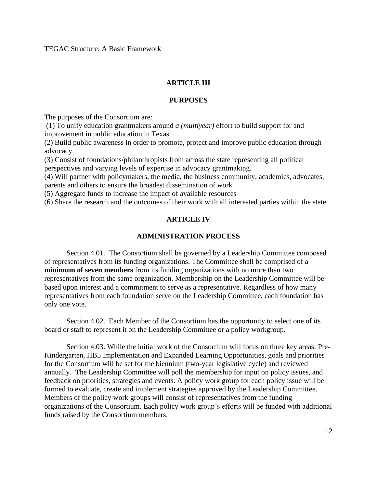#### **ARTICLE III**

#### **PURPOSES**

The purposes of the Consortium are:

(1) To unify education grantmakers around *a (multiyear)* effort to build support for and improvement in public education in Texas

(2) Build public awareness in order to promote, protect and improve public education through advocacy.

(3) Consist of foundations/philanthropists from across the state representing all political perspectives and varying levels of expertise in advocacy grantmaking.

(4) Will partner with policymakers, the media, the business community, academics, advocates, parents and others to ensure the broadest dissemination of work

(5) Aggregate funds to increase the impact of available resources

(6) Share the research and the outcomes of their work with all interested parties within the state.

#### **ARTICLE IV**

#### **ADMINISTRATION PROCESS**

Section 4.01. The Consortium shall be governed by a Leadership Committee composed of representatives from its funding organizations. The Committee shall be comprised of a **minimum of seven members** from its funding organizations with no more than two representatives from the same organization. Membership on the Leadership Committee will be based upon interest and a commitment to serve as a representative. Regardless of how many representatives from each foundation serve on the Leadership Committee, each foundation has only one vote.

Section 4.02. Each Member of the Consortium has the opportunity to select one of its board or staff to represent it on the Leadership Committee or a policy workgroup.

Section 4.03. While the initial work of the Consortium will focus on three key areas: Pre-Kindergarten, HB5 Implementation and Expanded Learning Opportunities, goals and priorities for the Consortium will be set for the biennium (two-year legislative cycle) and reviewed annually. The Leadership Committee will poll the membership for input on policy issues, and feedback on priorities, strategies and events. A policy work group for each policy issue will be formed to evaluate, create and implement strategies approved by the Leadership Committee. Members of the policy work groups will consist of representatives from the funding organizations of the Consortium. Each policy work group's efforts will be funded with additional funds raised by the Consortium members.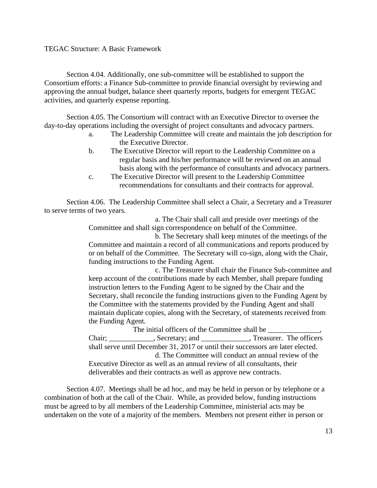Section 4.04. Additionally, one sub-committee will be established to support the Consortium efforts: a Finance Sub-committee to provide financial oversight by reviewing and approving the annual budget, balance sheet quarterly reports, budgets for emergent TEGAC activities, and quarterly expense reporting.

Section 4.05. The Consortium will contract with an Executive Director to oversee the day-to-day operations including the oversight of project consultants and advocacy partners.

- a. The Leadership Committee will create and maintain the job description for the Executive Director.
- b. The Executive Director will report to the Leadership Committee on a regular basis and his/her performance will be reviewed on an annual basis along with the performance of consultants and advocacy partners.
- c. The Executive Director will present to the Leadership Committee recommendations for consultants and their contracts for approval.

Section 4.06. The Leadership Committee shall select a Chair, a Secretary and a Treasurer to serve terms of two years.

> a. The Chair shall call and preside over meetings of the Committee and shall sign correspondence on behalf of the Committee.

b. The Secretary shall keep minutes of the meetings of the Committee and maintain a record of all communications and reports produced by or on behalf of the Committee. The Secretary will co-sign, along with the Chair, funding instructions to the Funding Agent.

c. The Treasurer shall chair the Finance Sub-committee and keep account of the contributions made by each Member, shall prepare funding instruction letters to the Funding Agent to be signed by the Chair and the Secretary, shall reconcile the funding instructions given to the Funding Agent by the Committee with the statements provided by the Funding Agent and shall maintain duplicate copies, along with the Secretary, of statements received from the Funding Agent.

The initial officers of the Committee shall be Chair; \_\_\_\_\_\_\_\_\_\_\_, Secretary; and \_\_\_\_\_\_\_\_\_\_\_\_, Treasurer. The officers shall serve until December 31, 2017 or until their successors are later elected. d. The Committee will conduct an annual review of the Executive Director as well as an annual review of all consultants, their deliverables and their contracts as well as approve new contracts.

Section 4.07. Meetings shall be ad hoc, and may be held in person or by telephone or a combination of both at the call of the Chair. While, as provided below, funding instructions must be agreed to by all members of the Leadership Committee, ministerial acts may be undertaken on the vote of a majority of the members. Members not present either in person or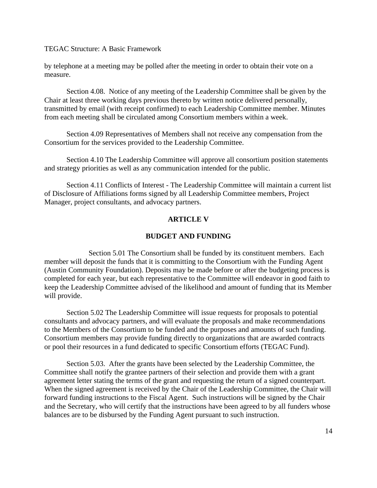by telephone at a meeting may be polled after the meeting in order to obtain their vote on a measure.

Section 4.08. Notice of any meeting of the Leadership Committee shall be given by the Chair at least three working days previous thereto by written notice delivered personally, transmitted by email (with receipt confirmed) to each Leadership Committee member. Minutes from each meeting shall be circulated among Consortium members within a week.

Section 4.09 Representatives of Members shall not receive any compensation from the Consortium for the services provided to the Leadership Committee.

Section 4.10 The Leadership Committee will approve all consortium position statements and strategy priorities as well as any communication intended for the public.

Section 4.11 Conflicts of Interest - The Leadership Committee will maintain a current list of Disclosure of Affiliations forms signed by all Leadership Committee members, Project Manager, project consultants, and advocacy partners.

#### **ARTICLE V**

#### **BUDGET AND FUNDING**

Section 5.01 The Consortium shall be funded by its constituent members. Each member will deposit the funds that it is committing to the Consortium with the Funding Agent (Austin Community Foundation). Deposits may be made before or after the budgeting process is completed for each year, but each representative to the Committee will endeavor in good faith to keep the Leadership Committee advised of the likelihood and amount of funding that its Member will provide.

Section 5.02 The Leadership Committee will issue requests for proposals to potential consultants and advocacy partners, and will evaluate the proposals and make recommendations to the Members of the Consortium to be funded and the purposes and amounts of such funding. Consortium members may provide funding directly to organizations that are awarded contracts or pool their resources in a fund dedicated to specific Consortium efforts (TEGAC Fund).

Section 5.03. After the grants have been selected by the Leadership Committee, the Committee shall notify the grantee partners of their selection and provide them with a grant agreement letter stating the terms of the grant and requesting the return of a signed counterpart. When the signed agreement is received by the Chair of the Leadership Committee, the Chair will forward funding instructions to the Fiscal Agent. Such instructions will be signed by the Chair and the Secretary, who will certify that the instructions have been agreed to by all funders whose balances are to be disbursed by the Funding Agent pursuant to such instruction.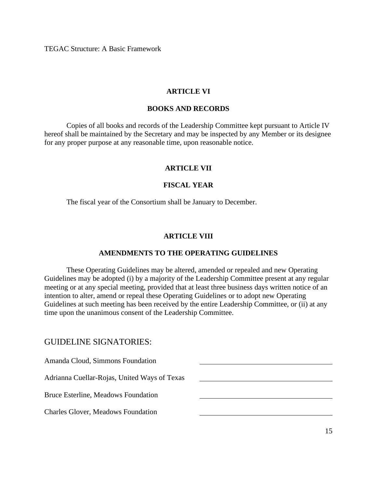#### **ARTICLE VI**

#### **BOOKS AND RECORDS**

Copies of all books and records of the Leadership Committee kept pursuant to Article IV hereof shall be maintained by the Secretary and may be inspected by any Member or its designee for any proper purpose at any reasonable time, upon reasonable notice.

#### **ARTICLE VII**

#### **FISCAL YEAR**

The fiscal year of the Consortium shall be January to December.

#### **ARTICLE VIII**

#### **AMENDMENTS TO THE OPERATING GUIDELINES**

These Operating Guidelines may be altered, amended or repealed and new Operating Guidelines may be adopted (i) by a majority of the Leadership Committee present at any regular meeting or at any special meeting, provided that at least three business days written notice of an intention to alter, amend or repeal these Operating Guidelines or to adopt new Operating Guidelines at such meeting has been received by the entire Leadership Committee, or (ii) at any time upon the unanimous consent of the Leadership Committee.

#### GUIDELINE SIGNATORIES:

Amanda Cloud, Simmons Foundation

Adrianna Cuellar-Rojas, United Ways of Texas

Bruce Esterline, Meadows Foundation

Charles Glover, Meadows Foundation